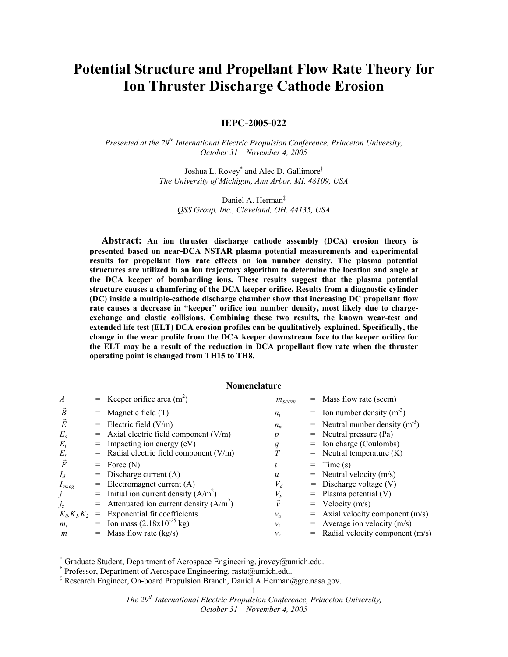# **Potential Structure and Propellant Flow Rate Theory for Ion Thruster Discharge Cathode Erosion**

**IEPC-2005-022** 

*Presented at the 29th International Electric Propulsion Conference, Princeton University, October 31 – November 4, 2005* 

> Joshua L. Rovey\* and Alec D. Gallimore† *The University of Michigan, Ann Arbor, MI. 48109, USA*

Daniel A. Herman‡ *QSS Group, Inc., Cleveland, OH. 44135, USA* 

**Abstract: An ion thruster discharge cathode assembly (DCA) erosion theory is presented based on near-DCA NSTAR plasma potential measurements and experimental results for propellant flow rate effects on ion number density. The plasma potential structures are utilized in an ion trajectory algorithm to determine the location and angle at the DCA keeper of bombarding ions. These results suggest that the plasma potential structure causes a chamfering of the DCA keeper orifice. Results from a diagnostic cylinder (DC) inside a multiple-cathode discharge chamber show that increasing DC propellant flow rate causes a decrease in "keeper" orifice ion number density, most likely due to chargeexchange and elastic collisions. Combining these two results, the known wear-test and extended life test (ELT) DCA erosion profiles can be qualitatively explained. Specifically, the change in the wear profile from the DCA keeper downstream face to the keeper orifice for the ELT may be a result of the reduction in DCA propellant flow rate when the thruster operating point is changed from TH15 to TH8.** 

# **Nomenclature**

| $\boldsymbol{A}$ |     | = Keeper orifice area $(m^2)$            | $m_{sccm}$ |     | Mass flow rate (sccm)                     |
|------------------|-----|------------------------------------------|------------|-----|-------------------------------------------|
| $\overline{B}$   |     | Magnetic field $(T)$                     | $n_i$      |     | $=$ Ion number density (m <sup>-3</sup> ) |
| È                |     | Electric field $(V/m)$                   | $n_{n}$    | $=$ | Neutral number density $(m^{-3})$         |
| $E_a$            | $=$ | Axial electric field component $(V/m)$   | p          | $=$ | Neutral pressure (Pa)                     |
| $E_i$            | $=$ | Impacting ion energy (eV)                | q          | $=$ | Ion charge (Coulombs)                     |
| $E_r$            |     | Radial electric field component $(V/m)$  |            | $=$ | Neutral temperature (K)                   |
| $\vec{F}$        | $=$ | Force $(N)$                              |            | $=$ | Time (s)                                  |
| $I_d$            | $=$ | Discharge current $(A)$                  | u          | $=$ | Neutral velocity $(m/s)$                  |
| $I_{emag}$       | $=$ | Electromagnet current (A)                | $V_d$      |     | $=$ Discharge voltage (V)                 |
| J                |     | Initial ion current density $(A/m^2)$    | $V_p$      |     | Plasma potential (V)                      |
| $j_z$            | $=$ | Attenuated ion current density $(A/m^2)$ | $\vec{v}$  | $=$ | Velocity $(m/s)$                          |
| $K_0, K_1, K_2$  | $=$ | Exponential fit coefficients             | $v_a$      | $=$ | Axial velocity component $(m/s)$          |
| $m_i$            |     | = Ion mass $(2.18x10^{-25}$ kg)          | $v_i$      | $=$ | Average ion velocity $(m/s)$              |
| $\boldsymbol{m}$ |     | Mass flow rate $(kg/s)$                  | $v_r$      |     | Radial velocity component (m/s)           |

<sup>\*</sup> Graduate Student, Department of Aerospace Engineering, jrovey@umich.edu.

1

<sup>†</sup> Professor, Department of Aerospace Engineering, rasta@umich.edu.

<sup>‡</sup> Research Engineer, On-board Propulsion Branch, Daniel.A.Herman@grc.nasa.gov.

<sup>1</sup>

*The 29th International Electric Propulsion Conference, Princeton University,*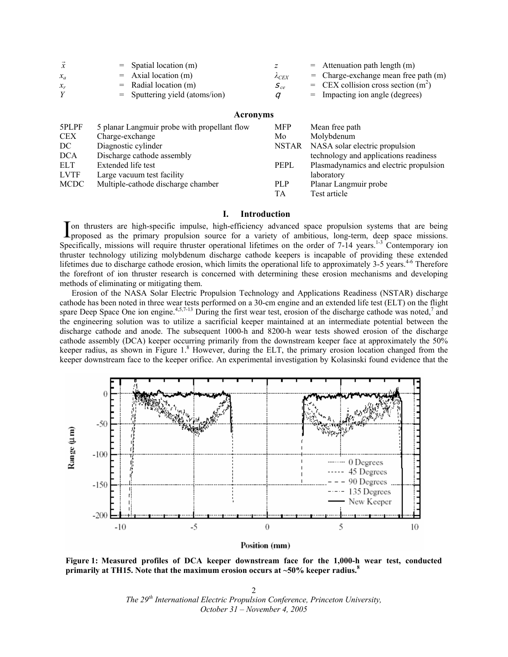|          | $=$ Spatial location (m)         |               | $=$ Attenuation path length (m)        |
|----------|----------------------------------|---------------|----------------------------------------|
| $x_a$    | $=$ Axial location (m)           | $\Lambda$ CEX | $=$ Charge-exchange mean free path (m) |
| $\chi_r$ | $=$ Radial location (m)          | $S_{ce}$      | $=$ CEX collision cross section $(m2)$ |
|          | $=$ Sputtering yield (atoms/ion) |               | = Impacting ion angle (degrees)        |

# **Acronyms**

| 5PLPF       | 5 planar Langmuir probe with propellant flow | <b>MFP</b> | Mean free path                         |
|-------------|----------------------------------------------|------------|----------------------------------------|
| <b>CEX</b>  | Charge-exchange                              | Mo         | Molybdenum                             |
| DC          | Diagnostic cylinder                          | NSTAR      | NASA solar electric propulsion         |
| <b>DCA</b>  | Discharge cathode assembly                   |            | technology and applications readiness  |
| ELT         | Extended life test                           | PEPL       | Plasmadynamics and electric propulsion |
| <b>LVTF</b> | Large vacuum test facility                   |            | laboratory                             |
| <b>MCDC</b> | Multiple-cathode discharge chamber           | PLP        | Planar Langmuir probe                  |
|             |                                              | TА         | Test article                           |

# **I. Introduction**

on thrusters are high-specific impulse, high-efficiency advanced space propulsion systems that are being Ion thrusters are high-specific impulse, high-efficiency advanced space propulsion systems that are being proposed as the primary propulsion source for a variety of ambitious, long-term, deep space missions. Specifically, missions will require thruster operational lifetimes on the order of 7-14 years.<sup>1-3</sup> Contemporary ion thruster technology utilizing molybdenum discharge cathode keepers is incapable of providing these extended lifetimes due to discharge cathode erosion, which limits the operational life to approximately  $3-5$  years.<sup>4-6</sup> Therefore the forefront of ion thruster research is concerned with determining these erosion mechanisms and developing methods of eliminating or mitigating them.

 Erosion of the NASA Solar Electric Propulsion Technology and Applications Readiness (NSTAR) discharge cathode has been noted in three wear tests performed on a 30-cm engine and an extended life test (ELT) on the flight spare Deep Space One ion engine.<sup>4,5,7-13</sup> During the first wear test, erosion of the discharge cathode was noted,<sup>7</sup> and the engineering solution was to utilize a sacrificial keeper maintained at an intermediate potential between the discharge cathode and anode. The subsequent 1000-h and 8200-h wear tests showed erosion of the discharge cathode assembly (DCA) keeper occurring primarily from the downstream keeper face at approximately the 50% keeper radius, as shown in Figure 1.<sup>8</sup> However, during the ELT, the primary erosion location changed from the keeper downstream face to the keeper orifice. An experimental investigation by Kolasinski found evidence that the



Position (mm)

**Figure 1: Measured profiles of DCA keeper downstream face for the 1,000-h wear test, conducted primarily at TH15. Note that the maximum erosion occurs at ~50% keeper radius.<sup>8</sup>**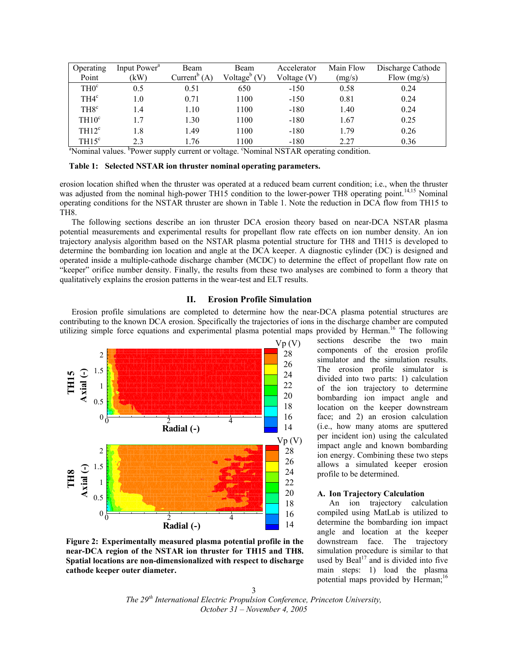| Operating                                                                              | Input Power <sup>a</sup> | Beam                     | Beam                | Accelerator | Main Flow | Discharge Cathode |  |  |  |
|----------------------------------------------------------------------------------------|--------------------------|--------------------------|---------------------|-------------|-----------|-------------------|--|--|--|
| Point                                                                                  | (kW)                     | Current <sup>b</sup> (A) | Voltage $\rm^b$ (V) | Voltage (V) | (mg/s)    | Flow $(mg/s)$     |  |  |  |
| TH0 <sup>c</sup>                                                                       | 0.5                      | 0.51                     | 650                 | $-150$      | 0.58      | 0.24              |  |  |  |
| TH4 <sup>c</sup>                                                                       | 1.0                      | 0.71                     | 1100                | $-150$      | 0.81      | 0.24              |  |  |  |
| TH <sub>8</sub> <sup>c</sup>                                                           | 1.4                      | 1.10                     | 1100                | $-180$      | 1.40      | 0.24              |  |  |  |
| TH10 <sup>c</sup>                                                                      | 1.7                      | 1.30                     | 1100                | $-180$      | 1.67      | 0.25              |  |  |  |
| TH12 <sup>c</sup>                                                                      | 1.8                      | 1.49                     | 1100                | $-180$      | 1.79      | 0.26              |  |  |  |
| TH15 <sup>c</sup>                                                                      | 2.3                      | 1.76                     | 1100                | $-180$      | 2.27      | 0.36              |  |  |  |
| "Nominal values. "Power supply current or voltage. "Nominal NSTAR operating condition. |                          |                          |                     |             |           |                   |  |  |  |

#### **Table 1: Selected NSTAR ion thruster nominal operating parameters.**

erosion location shifted when the thruster was operated at a reduced beam current condition; i.e., when the thruster was adjusted from the nominal high-power TH15 condition to the lower-power TH8 operating point.<sup>14,15</sup> Nominal operating conditions for the NSTAR thruster are shown in Table 1. Note the reduction in DCA flow from TH15 to TH8.

 The following sections describe an ion thruster DCA erosion theory based on near-DCA NSTAR plasma potential measurements and experimental results for propellant flow rate effects on ion number density. An ion trajectory analysis algorithm based on the NSTAR plasma potential structure for TH8 and TH15 is developed to determine the bombarding ion location and angle at the DCA keeper. A diagnostic cylinder (DC) is designed and operated inside a multiple-cathode discharge chamber (MCDC) to determine the effect of propellant flow rate on "keeper" orifice number density. Finally, the results from these two analyses are combined to form a theory that qualitatively explains the erosion patterns in the wear-test and ELT results.

#### **II. Erosion Profile Simulation**

Erosion profile simulations are completed to determine how the near-DCA plasma potential structures are contributing to the known DCA erosion. Specifically the trajectories of ions in the discharge chamber are computed utilizing simple force equations and experimental plasma potential maps provided by Herman.<sup>16</sup> The following



**Figure 2: Experimentally measured plasma potential profile in the near-DCA region of the NSTAR ion thruster for TH15 and TH8. Spatial locations are non-dimensionalized with respect to discharge cathode keeper outer diameter.** 

sections describe the two main components of the erosion profile simulator and the simulation results. The erosion profile simulator is divided into two parts: 1) calculation of the ion trajectory to determine bombarding ion impact angle and location on the keeper downstream face; and 2) an erosion calculation (i.e., how many atoms are sputtered per incident ion) using the calculated impact angle and known bombarding ion energy. Combining these two steps allows a simulated keeper erosion profile to be determined.

### **A. Ion Trajectory Calculation**

An ion trajectory calculation compiled using MatLab is utilized to determine the bombarding ion impact angle and location at the keeper downstream face. The trajectory simulation procedure is similar to that used by  $Beal<sup>17</sup>$  and is divided into five main steps: 1) load the plasma potential maps provided by Herman;<sup>16</sup>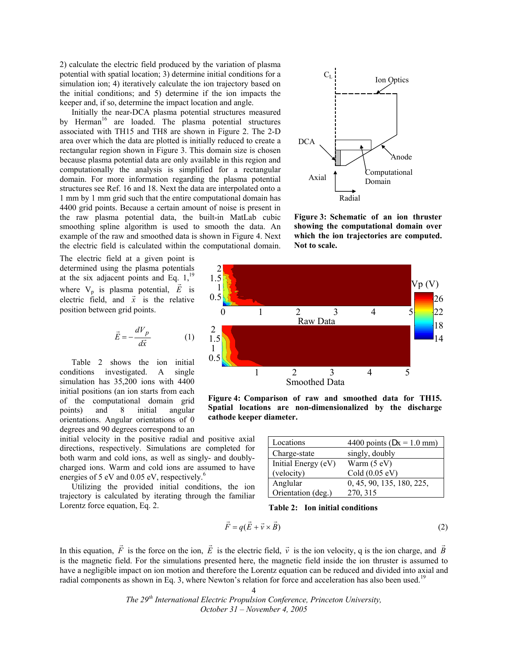2) calculate the electric field produced by the variation of plasma potential with spatial location; 3) determine initial conditions for a simulation ion; 4) iteratively calculate the ion trajectory based on the initial conditions; and 5) determine if the ion impacts the keeper and, if so, determine the impact location and angle.

Initially the near-DCA plasma potential structures measured by Herman<sup>16</sup> are loaded. The plasma potential structures associated with TH15 and TH8 are shown in Figure 2. The 2-D area over which the data are plotted is initially reduced to create a rectangular region shown in Figure 3. This domain size is chosen because plasma potential data are only available in this region and computationally the analysis is simplified for a rectangular domain. For more information regarding the plasma potential structures see Ref. 16 and 18. Next the data are interpolated onto a 1 mm by 1 mm grid such that the entire computational domain has 4400 grid points. Because a certain amount of noise is present in the raw plasma potential data, the built-in MatLab cubic smoothing spline algorithm is used to smooth the data. An example of the raw and smoothed data is shown in Figure 4. Next the electric field is calculated within the computational domain.

The electric field at a given point is determined using the plasma potentials at the six adjacent points and Eq.  $1,^{19}$ where  $V_p$  is plasma potential,  $\vec{E}$  is electric field, and  $\vec{x}$  is the relative position between grid points.

$$
\vec{E} = -\frac{dV_p}{d\vec{x}}\tag{1}
$$

 Table 2 shows the ion initial conditions investigated. A single simulation has 35,200 ions with 4400 initial positions (an ion starts from each of the computational domain grid points) and 8 initial angular orientations. Angular orientations of 0 degrees and 90 degrees correspond to an

initial velocity in the positive radial and positive axial directions, respectively. Simulations are completed for both warm and cold ions, as well as singly- and doublycharged ions. Warm and cold ions are assumed to have energies of 5 eV and  $0.05$  eV, respectively.<sup>6</sup>

 Utilizing the provided initial conditions, the ion trajectory is calculated by iterating through the familiar Lorentz force equation, Eq. 2.



**Figure 3: Schematic of an ion thruster showing the computational domain over which the ion trajectories are computed. Not to scale.** 



**Figure 4: Comparison of raw and smoothed data for TH15. Spatial locations are non-dimensionalized by the discharge cathode keeper diameter.**

| Locations           | 4400 points ( $Dx = 1.0$ mm) |
|---------------------|------------------------------|
| Charge-state        | singly, doubly               |
| Initial Energy (eV) | Warm (5 eV)                  |
| (velocity)          | Cold (0.05 eV)               |
| Anglular            | 0, 45, 90, 135, 180, 225,    |
| Orientation (deg.)  | 270, 315                     |

**Table 2: Ion initial conditions** 

$$
\vec{F} = q(\vec{E} + \vec{v} \times \vec{B})
$$
 (2)

In this equation,  $\vec{F}$  is the force on the ion,  $\vec{E}$  is the electric field,  $\vec{v}$  is the ion velocity, q is the ion charge, and  $\vec{B}$ is the magnetic field. For the simulations presented here, the magnetic field inside the ion thruster is assumed to have a negligible impact on ion motion and therefore the Lorentz equation can be reduced and divided into axial and radial components as shown in Eq. 3, where Newton's relation for force and acceleration has also been used.<sup>19</sup>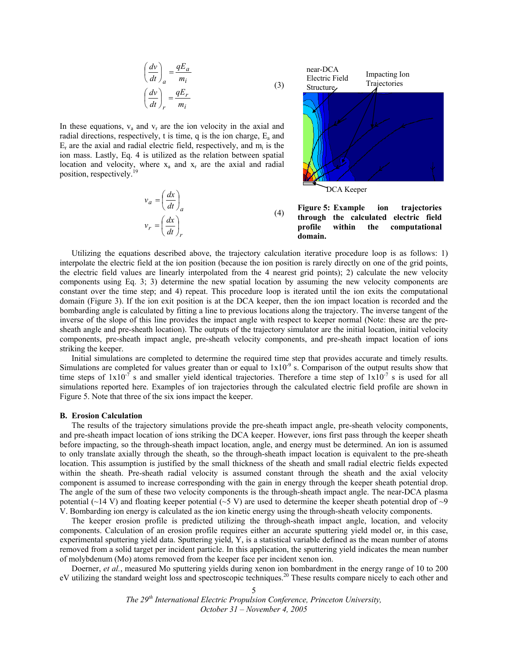$$
\left(\frac{dv}{dt}\right)_a = \frac{qE_a}{m_i}
$$

$$
\left(\frac{dv}{dt}\right)_r = \frac{qE_r}{m_i}
$$

In these equations,  $v_a$  and  $v_r$  are the ion velocity in the axial and radial directions, respectively, t is time, q is the ion charge,  $E_a$  and  $E_r$  are the axial and radial electric field, respectively, and  $m_i$  is the ion mass. Lastly, Eq. 4 is utilized as the relation between spatial location and velocity, where  $x_a$  and  $x_r$  are the axial and radial position, respectively.<sup>19</sup>

$$
v_a = \left(\frac{dx}{dt}\right)_a
$$
  
\n
$$
v_r = \left(\frac{dx}{dt}\right)_r
$$
\n(4)



**Figure 5: Example ion trajectories through the calculated electric field profile within the computational domain.** 

 Utilizing the equations described above, the trajectory calculation iterative procedure loop is as follows: 1) interpolate the electric field at the ion position (because the ion position is rarely directly on one of the grid points, the electric field values are linearly interpolated from the 4 nearest grid points); 2) calculate the new velocity components using Eq. 3; 3) determine the new spatial location by assuming the new velocity components are constant over the time step; and 4) repeat. This procedure loop is iterated until the ion exits the computational domain (Figure 3). If the ion exit position is at the DCA keeper, then the ion impact location is recorded and the bombarding angle is calculated by fitting a line to previous locations along the trajectory. The inverse tangent of the inverse of the slope of this line provides the impact angle with respect to keeper normal (Note: these are the presheath angle and pre-sheath location). The outputs of the trajectory simulator are the initial location, initial velocity components, pre-sheath impact angle, pre-sheath velocity components, and pre-sheath impact location of ions striking the keeper.

(3)

 Initial simulations are completed to determine the required time step that provides accurate and timely results. Simulations are completed for values greater than or equal to  $1x10^{-9}$  s. Comparison of the output results show that time steps of  $1x10^{-7}$  s and smaller yield identical trajectories. Therefore a time step of  $1x10^{-7}$  s is used for all simulations reported here. Examples of ion trajectories through the calculated electric field profile are shown in Figure 5. Note that three of the six ions impact the keeper.

#### **B. Erosion Calculation**

The results of the trajectory simulations provide the pre-sheath impact angle, pre-sheath velocity components, and pre-sheath impact location of ions striking the DCA keeper. However, ions first pass through the keeper sheath before impacting, so the through-sheath impact location, angle, and energy must be determined. An ion is assumed to only translate axially through the sheath, so the through-sheath impact location is equivalent to the pre-sheath location. This assumption is justified by the small thickness of the sheath and small radial electric fields expected within the sheath. Pre-sheath radial velocity is assumed constant through the sheath and the axial velocity component is assumed to increase corresponding with the gain in energy through the keeper sheath potential drop. The angle of the sum of these two velocity components is the through-sheath impact angle. The near-DCA plasma potential ( $\sim$ 14 V) and floating keeper potential ( $\sim$ 5 V) are used to determine the keeper sheath potential drop of  $\sim$ 9 V. Bombarding ion energy is calculated as the ion kinetic energy using the through-sheath velocity components.

The keeper erosion profile is predicted utilizing the through-sheath impact angle, location, and velocity components. Calculation of an erosion profile requires either an accurate sputtering yield model or, in this case, experimental sputtering yield data. Sputtering yield, Y, is a statistical variable defined as the mean number of atoms removed from a solid target per incident particle. In this application, the sputtering yield indicates the mean number of molybdenum (Mo) atoms removed from the keeper face per incident xenon ion.

Doerner, *et al.*, measured Mo sputtering yields during xenon ion bombardment in the energy range of 10 to 200 eV utilizing the standard weight loss and spectroscopic techniques.20 These results compare nicely to each other and

> *The 29th International Electric Propulsion Conference, Princeton University, October 31 – November 4, 2005*

5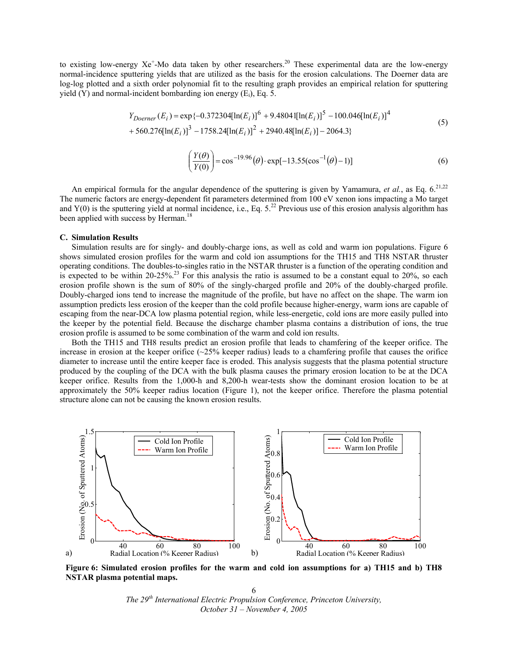to existing low-energy  $Xe^{+}$ -Mo data taken by other researchers.<sup>20</sup> These experimental data are the low-energy normal-incidence sputtering yields that are utilized as the basis for the erosion calculations. The Doerner data are log-log plotted and a sixth order polynomial fit to the resulting graph provides an empirical relation for sputtering yield  $(Y)$  and normal-incident bombarding ion energy  $(E_i)$ , Eq. 5.

$$
Y_{Doerner}(E_i) = \exp\{-0.372304[\ln(E_i)]^6 + 9.48041[\ln(E_i)]^5 - 100.046[\ln(E_i)]^4 + 560.276[\ln(E_i)]^3 - 1758.24[\ln(E_i)]^2 + 2940.48[\ln(E_i)] - 2064.3\}
$$
\n(5)

$$
\left(\frac{Y(\theta)}{Y(0)}\right) = \cos^{-19.96}(\theta) \cdot \exp[-13.55(\cos^{-1}(\theta) - 1)]\tag{6}
$$

An empirical formula for the angular dependence of the sputtering is given by Yamamura, *et al.*, as Eq. 6.<sup>21,22</sup> The numeric factors are energy-dependent fit parameters determined from 100 eV xenon ions impacting a Mo target and  $Y(0)$  is the sputtering yield at normal incidence, i.e., Eq.  $5<sup>22</sup>$  Previous use of this erosion analysis algorithm has been applied with success by Herman.<sup>18</sup>

# **C. Simulation Results**

Simulation results are for singly- and doubly-charge ions, as well as cold and warm ion populations. Figure 6 shows simulated erosion profiles for the warm and cold ion assumptions for the TH15 and TH8 NSTAR thruster operating conditions. The doubles-to-singles ratio in the NSTAR thruster is a function of the operating condition and is expected to be within 20-25%.<sup>23</sup> For this analysis the ratio is assumed to be a constant equal to 20%, so each erosion profile shown is the sum of 80% of the singly-charged profile and 20% of the doubly-charged profile. Doubly-charged ions tend to increase the magnitude of the profile, but have no affect on the shape. The warm ion assumption predicts less erosion of the keeper than the cold profile because higher-energy, warm ions are capable of escaping from the near-DCA low plasma potential region, while less-energetic, cold ions are more easily pulled into the keeper by the potential field. Because the discharge chamber plasma contains a distribution of ions, the true erosion profile is assumed to be some combination of the warm and cold ion results.

Both the TH15 and TH8 results predict an erosion profile that leads to chamfering of the keeper orifice. The increase in erosion at the keeper orifice  $(\sim 25\%$  keeper radius) leads to a chamfering profile that causes the orifice diameter to increase until the entire keeper face is eroded. This analysis suggests that the plasma potential structure produced by the coupling of the DCA with the bulk plasma causes the primary erosion location to be at the DCA keeper orifice. Results from the 1,000-h and 8,200-h wear-tests show the dominant erosion location to be at approximately the 50% keeper radius location (Figure 1), not the keeper orifice. Therefore the plasma potential structure alone can not be causing the known erosion results.



**Figure 6: Simulated erosion profiles for the warm and cold ion assumptions for a) TH15 and b) TH8 NSTAR plasma potential maps.** 

*The 29th International Electric Propulsion Conference, Princeton University, October 31 – November 4, 2005*  6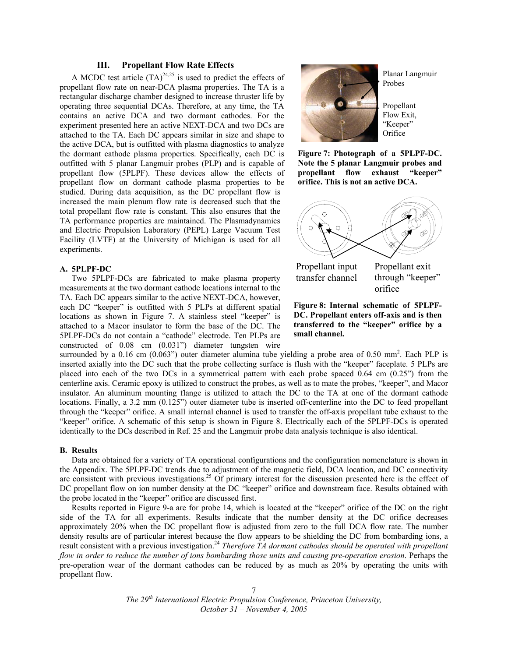# **III. Propellant Flow Rate Effects**

A MCDC test article  $(TA)^{24,25}$  is used to predict the effects of propellant flow rate on near-DCA plasma properties. The TA is a rectangular discharge chamber designed to increase thruster life by operating three sequential DCAs. Therefore, at any time, the TA contains an active DCA and two dormant cathodes. For the experiment presented here an active NEXT-DCA and two DCs are attached to the TA. Each DC appears similar in size and shape to the active DCA, but is outfitted with plasma diagnostics to analyze the dormant cathode plasma properties. Specifically, each DC is outfitted with 5 planar Langmuir probes (PLP) and is capable of propellant flow (5PLPF). These devices allow the effects of propellant flow on dormant cathode plasma properties to be studied. During data acquisition, as the DC propellant flow is increased the main plenum flow rate is decreased such that the total propellant flow rate is constant. This also ensures that the TA performance properties are maintained. The Plasmadynamics and Electric Propulsion Laboratory (PEPL) Large Vacuum Test Facility (LVTF) at the University of Michigan is used for all experiments.

#### **A. 5PLPF-DC**

Two 5PLPF-DCs are fabricated to make plasma property measurements at the two dormant cathode locations internal to the TA. Each DC appears similar to the active NEXT-DCA, however, each DC "keeper" is outfitted with 5 PLPs at different spatial locations as shown in Figure 7. A stainless steel "keeper" is attached to a Macor insulator to form the base of the DC. The 5PLPF-DCs do not contain a "cathode" electrode. Ten PLPs are constructed of 0.08 cm (0.031") diameter tungsten wire



Planar Langmuir Probes

Propellant Flow Exit, "Keeper" Orifice

**Figure 7: Photograph of a 5PLPF-DC. Note the 5 planar Langmuir probes and propellant flow exhaust "keeper" orifice. This is not an active DCA.** 



transfer channel through "keeper" orifice



surrounded by a 0.16 cm  $(0.063)$  outer diameter alumina tube yielding a probe area of 0.50 mm<sup>2</sup>. Each PLP is inserted axially into the DC such that the probe collecting surface is flush with the "keeper" faceplate. 5 PLPs are placed into each of the two DCs in a symmetrical pattern with each probe spaced 0.64 cm (0.25") from the centerline axis. Ceramic epoxy is utilized to construct the probes, as well as to mate the probes, "keeper", and Macor insulator. An aluminum mounting flange is utilized to attach the DC to the TA at one of the dormant cathode locations. Finally, a 3.2 mm (0.125") outer diameter tube is inserted off-centerline into the DC to feed propellant through the "keeper" orifice. A small internal channel is used to transfer the off-axis propellant tube exhaust to the "keeper" orifice. A schematic of this setup is shown in Figure 8. Electrically each of the 5PLPF-DCs is operated identically to the DCs described in Ref. 25 and the Langmuir probe data analysis technique is also identical.

# **B. Results**

Data are obtained for a variety of TA operational configurations and the configuration nomenclature is shown in the Appendix. The 5PLPF-DC trends due to adjustment of the magnetic field, DCA location, and DC connectivity are consistent with previous investigations.<sup>25</sup> Of primary interest for the discussion presented here is the effect of DC propellant flow on ion number density at the DC "keeper" orifice and downstream face. Results obtained with the probe located in the "keeper" orifice are discussed first.

Results reported in Figure 9-a are for probe 14, which is located at the "keeper" orifice of the DC on the right side of the TA for all experiments. Results indicate that the number density at the DC orifice decreases approximately 20% when the DC propellant flow is adjusted from zero to the full DCA flow rate. The number density results are of particular interest because the flow appears to be shielding the DC from bombarding ions, a result consistent with a previous investigation.<sup>24</sup> *Therefore TA dormant cathodes should be operated with propellant flow in order to reduce the number of ions bombarding those units and causing pre-operation erosion*. Perhaps the pre-operation wear of the dormant cathodes can be reduced by as much as 20% by operating the units with propellant flow.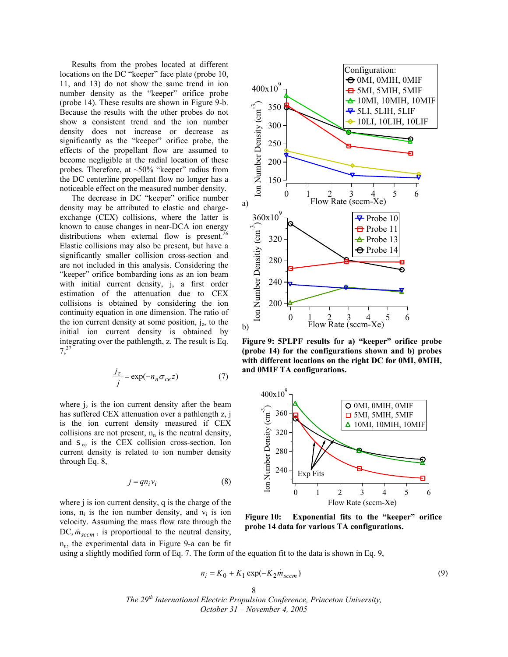Results from the probes located at different locations on the DC "keeper" face plate (probe 10, 11, and 13) do not show the same trend in ion number density as the "keeper" orifice probe (probe 14). These results are shown in Figure 9-b. Because the results with the other probes do not show a consistent trend and the ion number density does not increase or decrease as significantly as the "keeper" orifice probe, the effects of the propellant flow are assumed to become negligible at the radial location of these probes. Therefore, at  $\sim$ 50% "keeper" radius from the DC centerline propellant flow no longer has a noticeable effect on the measured number density.

The decrease in DC "keeper" orifice number density may be attributed to elastic and chargeexchange (CEX) collisions, where the latter is known to cause changes in near-DCA ion energy distributions when external flow is present.<sup>2</sup> Elastic collisions may also be present, but have a significantly smaller collision cross-section and are not included in this analysis. Considering the "keeper" orifice bombarding ions as an ion beam with initial current density, *j*, a first order estimation of the attenuation due to CEX collisions is obtained by considering the ion continuity equation in one dimension. The ratio of the ion current density at some position,  $j_z$ , to the initial ion current density is obtained by integrating over the pathlength, z. The result is Eq. 7,27

$$
\frac{j_z}{j} = \exp(-n_n \sigma_{ce} z)
$$
 (7)

where  $j_z$  is the ion current density after the beam has suffered CEX attenuation over a pathlength z, j is the ion current density measured if CEX collisions are not present,  $n_n$  is the neutral density, and  $S_{ce}$  is the CEX collision cross-section. Ion current density is related to ion number density through Eq. 8,

$$
j = qn_i v_i \tag{8}
$$

where j is ion current density, q is the charge of the ions,  $n_i$  is the ion number density, and  $v_i$  is ion velocity. Assuming the mass flow rate through the DC,  $\dot{m}_{sccm}$ , is proportional to the neutral density,  $n_n$ , the experimental data in Figure 9-a can be fit



**Figure 9: 5PLPF results for a) "keeper" orifice probe (probe 14) for the configurations shown and b) probes with different locations on the right DC for 0MI, 0MIH, and 0MIF TA configurations.** 



**Figure 10: Exponential fits to the "keeper" orifice probe 14 data for various TA configurations.** 

using a slightly modified form of Eq. 7. The form of the equation fit to the data is shown in Eq. 9,

$$
n_i = K_0 + K_1 \exp(-K_2 \dot{m}_{sccm})
$$
\n<sup>(9)</sup>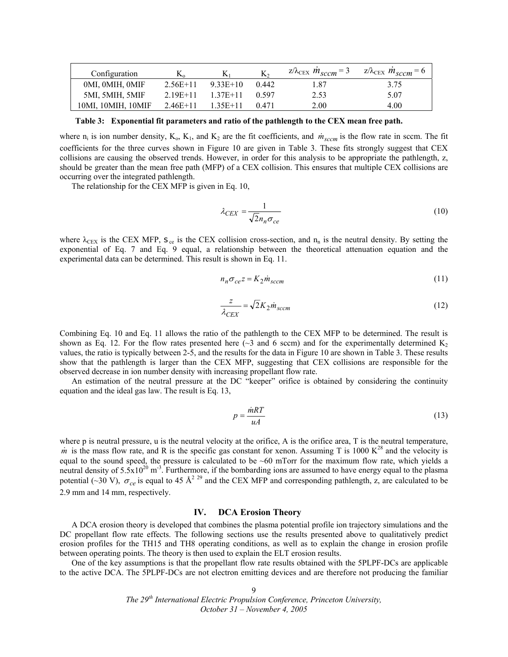| Configuration      | $K_{\alpha}$ | K1         | K,    | $z/\lambda_{\text{CEX}} m_{sccm} = 3$ $z/\lambda_{\text{CEX}} m_{sccm} = 6$ |      |
|--------------------|--------------|------------|-------|-----------------------------------------------------------------------------|------|
| OMI, OMIH, OMIF    | $2.56E+11$   | 9.33E+10   | 0.442 | l.87                                                                        | 3.75 |
| 5MI, 5MIH, 5MIF    | $2.19E+11$   | $1.37E+11$ | 0.597 | 2.53                                                                        | 5.07 |
| 10MI, 10MIH, 10MIF | $2.46E+11$   | $1.35E+11$ | 0.471 | 2.00                                                                        | 4.00 |

**Table 3: Exponential fit parameters and ratio of the pathlength to the CEX mean free path.** 

where  $n_i$  is ion number density,  $K_0$ ,  $K_1$ , and  $K_2$  are the fit coefficients, and  $\dot{m}_{sccm}$  is the flow rate in sccm. The fit coefficients for the three curves shown in Figure 10 are given in Table 3. These fits strongly suggest that CEX collisions are causing the observed trends. However, in order for this analysis to be appropriate the pathlength, z, should be greater than the mean free path (MFP) of a CEX collision. This ensures that multiple CEX collisions are occurring over the integrated pathlength.

The relationship for the CEX MFP is given in Eq. 10,

$$
\lambda_{CEX} = \frac{1}{\sqrt{2}n_n \sigma_{ce}}\tag{10}
$$

where  $\lambda_{\text{CEX}}$  is the CEX MFP, s<sub>ce</sub> is the CEX collision cross-section, and n<sub>n</sub> is the neutral density. By setting the exponential of Eq. 7 and Eq. 9 equal, a relationship between the theoretical attenuation equation and the experimental data can be determined. This result is shown in Eq. 11.

$$
n_n \sigma_{ce} z = K_2 \dot{m}_{sccm} \tag{11}
$$

$$
\frac{z}{\lambda_{CEX}} = \sqrt{2}K_2 \dot{m}_{sccm} \tag{12}
$$

Combining Eq. 10 and Eq. 11 allows the ratio of the pathlength to the CEX MFP to be determined. The result is shown as Eq. 12. For the flow rates presented here ( $\sim$ 3 and 6 sccm) and for the experimentally determined K<sub>2</sub> values, the ratio is typically between 2-5, and the results for the data in Figure 10 are shown in Table 3. These results show that the pathlength is larger than the CEX MFP, suggesting that CEX collisions are responsible for the observed decrease in ion number density with increasing propellant flow rate.

An estimation of the neutral pressure at the DC "keeper" orifice is obtained by considering the continuity equation and the ideal gas law. The result is Eq. 13,

$$
p = \frac{\dot{m}RT}{uA} \tag{13}
$$

where p is neutral pressure, u is the neutral velocity at the orifice, A is the orifice area, T is the neutral temperature, *m* is the mass flow rate, and R is the specific gas constant for xenon. Assuming T is 1000  $K^{28}$  and the velocity is equal to the sound speed, the pressure is calculated to be ~60 mTorr for the maximum flow rate, which yields a neutral density of  $5.5x10^{20}$  m<sup>3</sup>. Furthermore, if the bombarding ions are assumed to have energy equal to the plasma potential (~30 V),  $\sigma_{ce}$  is equal to 45 Å<sup>2 29</sup> and the CEX MFP and corresponding pathlength, z, are calculated to be 2.9 mm and 14 mm, respectively.

#### **IV. DCA Erosion Theory**

A DCA erosion theory is developed that combines the plasma potential profile ion trajectory simulations and the DC propellant flow rate effects. The following sections use the results presented above to qualitatively predict erosion profiles for the TH15 and TH8 operating conditions, as well as to explain the change in erosion profile between operating points. The theory is then used to explain the ELT erosion results.

One of the key assumptions is that the propellant flow rate results obtained with the 5PLPF-DCs are applicable to the active DCA. The 5PLPF-DCs are not electron emitting devices and are therefore not producing the familiar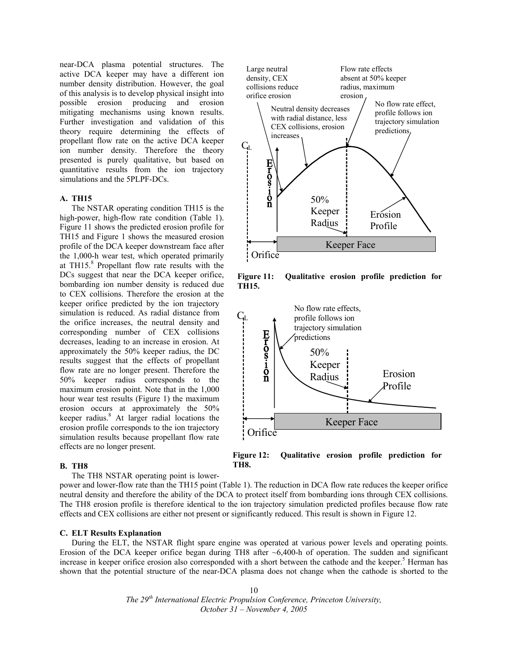near-DCA plasma potential structures. The active DCA keeper may have a different ion number density distribution. However, the goal of this analysis is to develop physical insight into possible erosion producing and erosion mitigating mechanisms using known results. Further investigation and validation of this theory require determining the effects of propellant flow rate on the active DCA keeper ion number density. Therefore the theory presented is purely qualitative, but based on quantitative results from the ion trajectory simulations and the 5PLPF-DCs.

#### **A. TH15**

The NSTAR operating condition TH15 is the high-power, high-flow rate condition (Table 1). Figure 11 shows the predicted erosion profile for TH15 and Figure 1 shows the measured erosion profile of the DCA keeper downstream face after the 1,000-h wear test, which operated primarily at TH15.<sup>8</sup> Propellant flow rate results with the DCs suggest that near the DCA keeper orifice, bombarding ion number density is reduced due to CEX collisions. Therefore the erosion at the keeper orifice predicted by the ion trajectory simulation is reduced. As radial distance from the orifice increases, the neutral density and corresponding number of CEX collisions decreases, leading to an increase in erosion. At approximately the 50% keeper radius, the DC results suggest that the effects of propellant flow rate are no longer present. Therefore the 50% keeper radius corresponds to the maximum erosion point. Note that in the 1,000 hour wear test results (Figure 1) the maximum erosion occurs at approximately the 50% keeper radius.<sup>8</sup> At larger radial locations the erosion profile corresponds to the ion trajectory simulation results because propellant flow rate effects are no longer present.

#### collisions reduce radius, maximum orifice erosion erosion No flow rate effect, Neutral density decreases profile follows ion with radial distance, less trajectory simulation CEX collisions, erosion predictions increases  $\overline{C}$ **Eros:10n** 50% Keeper Erosion Radius Profile Keeper Face

Flow rate effects absent at 50% keeper

**Figure 11: Qualitative erosion profile prediction for TH15.** 



**Figure 12: Qualitative erosion profile prediction for** 

#### **B. TH8**

The TH8 NSTAR operating point is lower-

power and lower-flow rate than the TH15 point (Table 1). The reduction in DCA flow rate reduces the keeper orifice neutral density and therefore the ability of the DCA to protect itself from bombarding ions through CEX collisions. The TH8 erosion profile is therefore identical to the ion trajectory simulation predicted profiles because flow rate effects and CEX collisions are either not present or significantly reduced. This result is shown in Figure 12.

**TH8.** 

Large neutral density, CEX

**Orifice** 

# **C. ELT Results Explanation**

During the ELT, the NSTAR flight spare engine was operated at various power levels and operating points. Erosion of the DCA keeper orifice began during TH8 after  $\sim 6,400-h$  of operation. The sudden and significant increase in keeper orifice erosion also corresponded with a short between the cathode and the keeper.<sup>5</sup> Herman has shown that the potential structure of the near-DCA plasma does not change when the cathode is shorted to the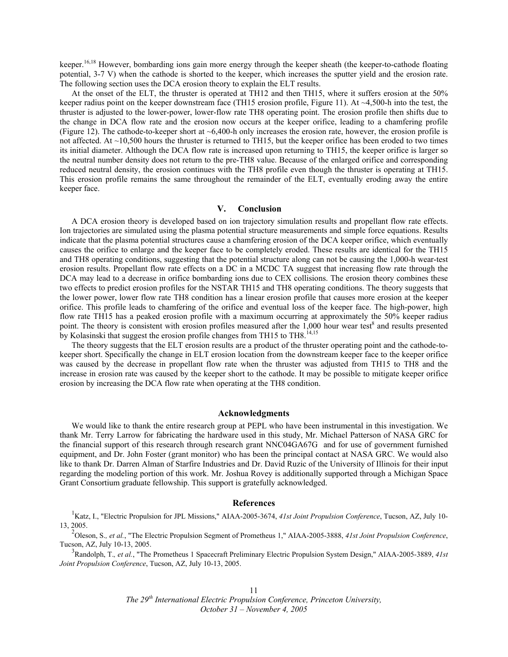keeper.<sup>16,18</sup> However, bombarding ions gain more energy through the keeper sheath (the keeper-to-cathode floating potential, 3-7 V) when the cathode is shorted to the keeper, which increases the sputter yield and the erosion rate. The following section uses the DCA erosion theory to explain the ELT results.

At the onset of the ELT, the thruster is operated at TH12 and then TH15, where it suffers erosion at the 50% keeper radius point on the keeper downstream face (TH15 erosion profile, Figure 11). At  $\sim$ 4,500-h into the test, the thruster is adjusted to the lower-power, lower-flow rate TH8 operating point. The erosion profile then shifts due to the change in DCA flow rate and the erosion now occurs at the keeper orifice, leading to a chamfering profile (Figure 12). The cathode-to-keeper short at  $\sim$  6,400-h only increases the erosion rate, however, the erosion profile is not affected. At  $\sim$ 10,500 hours the thruster is returned to TH15, but the keeper orifice has been eroded to two times its initial diameter. Although the DCA flow rate is increased upon returning to TH15, the keeper orifice is larger so the neutral number density does not return to the pre-TH8 value. Because of the enlarged orifice and corresponding reduced neutral density, the erosion continues with the TH8 profile even though the thruster is operating at TH15. This erosion profile remains the same throughout the remainder of the ELT, eventually eroding away the entire keeper face.

#### **V. Conclusion**

A DCA erosion theory is developed based on ion trajectory simulation results and propellant flow rate effects. Ion trajectories are simulated using the plasma potential structure measurements and simple force equations. Results indicate that the plasma potential structures cause a chamfering erosion of the DCA keeper orifice, which eventually causes the orifice to enlarge and the keeper face to be completely eroded. These results are identical for the TH15 and TH8 operating conditions, suggesting that the potential structure along can not be causing the 1,000-h wear-test erosion results. Propellant flow rate effects on a DC in a MCDC TA suggest that increasing flow rate through the DCA may lead to a decrease in orifice bombarding ions due to CEX collisions. The erosion theory combines these two effects to predict erosion profiles for the NSTAR TH15 and TH8 operating conditions. The theory suggests that the lower power, lower flow rate TH8 condition has a linear erosion profile that causes more erosion at the keeper orifice. This profile leads to chamfering of the orifice and eventual loss of the keeper face. The high-power, high flow rate TH15 has a peaked erosion profile with a maximum occurring at approximately the 50% keeper radius point. The theory is consistent with erosion profiles measured after the  $1,000$  hour wear test<sup>8</sup> and results presented by Kolasinski that suggest the erosion profile changes from TH15 to TH8.<sup>14,15</sup>

The theory suggests that the ELT erosion results are a product of the thruster operating point and the cathode-tokeeper short. Specifically the change in ELT erosion location from the downstream keeper face to the keeper orifice was caused by the decrease in propellant flow rate when the thruster was adjusted from TH15 to TH8 and the increase in erosion rate was caused by the keeper short to the cathode. It may be possible to mitigate keeper orifice erosion by increasing the DCA flow rate when operating at the TH8 condition.

#### **Acknowledgments**

We would like to thank the entire research group at PEPL who have been instrumental in this investigation. We thank Mr. Terry Larrow for fabricating the hardware used in this study, Mr. Michael Patterson of NASA GRC for the financial support of this research through research grant NNC04GA67G and for use of government furnished equipment, and Dr. John Foster (grant monitor) who has been the principal contact at NASA GRC. We would also like to thank Dr. Darren Alman of Starfire Industries and Dr. David Ruzic of the University of Illinois for their input regarding the modeling portion of this work. Mr. Joshua Rovey is additionally supported through a Michigan Space Grant Consortium graduate fellowship. This support is gratefully acknowledged.

#### **References**

<sup>1</sup> Katz, I., "Electric Propulsion for JPL Missions," AIAA-2005-3674, 41st Joint Propulsion Conference, Tucson, AZ, July 10-13, 2005.

2 Oleson, S.*, et al.*, "The Electric Propulsion Segment of Prometheus 1," AIAA-2005-3888, *41st Joint Propulsion Conference*, Tucson, AZ, July 10-13, 2005.

3 Randolph, T.*, et al.*, "The Prometheus 1 Spacecraft Preliminary Electric Propulsion System Design," AIAA-2005-3889, *41st Joint Propulsion Conference*, Tucson, AZ, July 10-13, 2005.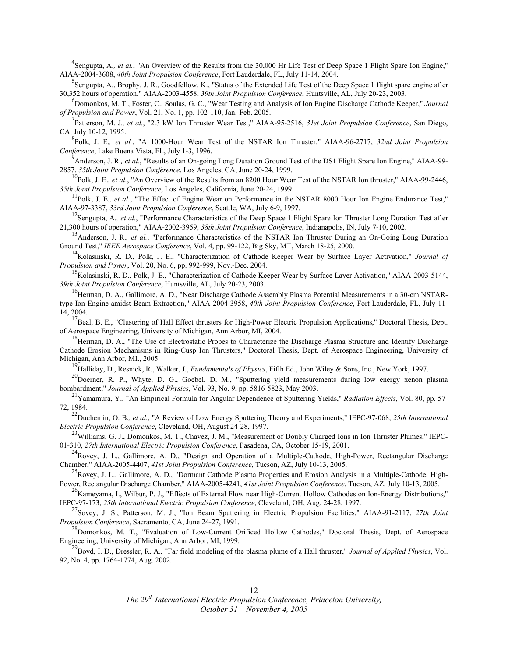<sup>4</sup> Sengupta, A., et al., "An Overview of the Results from the 30,000 Hr Life Test of Deep Space 1 Flight Spare Ion Engine," AIAA-2004-3608, *40th Joint Propulsion Conference*, Fort Lauderdale, FL, July 11-14, 2004.

<sup>5</sup> Sengupta, A., Brophy, J. R., Goodfellow, K., "Status of the Extended Life Test of the Deep Space 1 flight spare engine after 30,352 hours of operation," AIAA-2003-4558, *39th Joint Propulsion Conference*, Huntsville, AL, July 20-23, 2003.

6 Domonkos, M. T., Foster, C., Soulas, G. C., "Wear Testing and Analysis of Ion Engine Discharge Cathode Keeper," *Journal of Propulsion and Power*, Vol. 21, No. 1, pp. 102-110, Jan.-Feb. 2005.

7 Patterson, M. J.*, et al.*, "2.3 kW Ion Thruster Wear Test," AIAA-95-2516, *31st Joint Propulsion Conference*, San Diego, CA, July 10-12, 1995.

8 Polk, J. E.*, et al.*, "A 1000-Hour Wear Test of the NSTAR Ion Thruster," AIAA-96-2717, *32nd Joint Propulsion Conference*, Lake Buena Vista, FL, July 1-3, 1996.

<sup>9</sup><br>Anderson, J. R., et al., "Results of an On-going Long Duration Ground Test of the DS1 Flight Spare Ion Engine," AIAA-99-2857, *35th Joint Propulsion Conference*, Los Angeles, CA, June 20-24, 1999.

<sup>10</sup>Polk, J. E., et al., "An Overview of the Results from an 8200 Hour Wear Test of the NSTAR Ion thruster," AIAA-99-2446, *35th Joint Propulsion Conference*, Los Angeles, California, June 20-24, 1999.

 $11Polk$ , J. E., *et al.*, "The Effect of Engine Wear on Performance in the NSTAR 8000 Hour Ion Engine Endurance Test," AIAA-97-3387, *33rd Joint Propulsion Conference*, Seattle, WA, July 6-9, 1997.

<sup>12</sup>Sengupta, A., et al., "Performance Characteristics of the Deep Space 1 Flight Spare Ion Thruster Long Duration Test after 21,300 hours of operation," AIAA-2002-3959, *38th Joint Propulsion Conference*, Indianapolis, IN, July 7-10, 2002.

<sup>13</sup>Anderson, J. R., et al., "Performance Characteristics of the NSTAR Ion Thruster During an On-Going Long Duration Ground Test," *IEEE Aerospace Conference*, Vol. 4, pp. 99-122, Big Sky, MT, March 18-25, 2000.

<sup>14</sup>Kolasinski, R. D., Polk, J. E., "Characterization of Cathode Keeper Wear by Surface Layer Activation," *Journal of Propulsion and Power*, Vol. 20, No. 6, pp. 992-999, Nov.-Dec. 2004.

<sup>15</sup>Kolasinski, R. D., Polk, J. E., "Characterization of Cathode Keeper Wear by Surface Layer Activation," AIAA-2003-5144, *39th Joint Propulsion Conference*, Huntsville, AL, July 20-23, 2003.

<sup>16</sup>Herman, D. A., Gallimore, A. D., "Near Discharge Cathode Assembly Plasma Potential Measurements in a 30-cm NSTARtype Ion Engine amidst Beam Extraction," AIAA-2004-3958, *40th Joint Propulsion Conference*, Fort Lauderdale, FL, July 11- 14, 2004.

 $^{17}$ Beal, B. E., "Clustering of Hall Effect thrusters for High-Power Electric Propulsion Applications," Doctoral Thesis, Dept. of Aerospace Engineering, University of Michigan, Ann Arbor, MI, 2004.

 $^{18}$ Herman, D. A., "The Use of Electrostatic Probes to Characterize the Discharge Plasma Structure and Identify Discharge Cathode Erosion Mechanisms in Ring-Cusp Ion Thrusters," Doctoral Thesis, Dept. of Aerospace Engineering, University of Michigan, Ann Arbor, MI., 2005.

19Halliday, D., Resnick, R., Walker, J., *Fundamentals of Physics*, Fifth Ed., John Wiley & Sons, Inc., New York, 1997.

<sup>20</sup>Doerner, R. P., Whyte, D. G., Goebel, D. M., "Sputtering yield measurements during low energy xenon plasma bombardment," *Journal of Applied Physics*, Vol. 93, No. 9, pp. 5816-5823, May 2003.

21Yamamura, Y., "An Empirical Formula for Angular Dependence of Sputtering Yields," *Radiation Effects*, Vol. 80, pp. 57- 72, 1984.

22Duchemin, O. B.*, et al.*, "A Review of Low Energy Sputtering Theory and Experiments," IEPC-97-068, *25th International Electric Propulsion Conference*, Cleveland, OH, August 24-28, 1997.

 $^{23}$ Williams, G. J., Domonkos, M. T., Chavez, J. M., "Measurement of Doubly Charged Ions in Ion Thruster Plumes," IEPC-01-310, *27th International Electric Propulsion Conference*, Pasadena, CA, October 15-19, 2001.

 $^{24}$ Rovey, J. L., Gallimore, A. D., "Design and Operation of a Multiple-Cathode, High-Power, Rectangular Discharge Chamber," AIAA-2005-4407, *41st Joint Propulsion Conference*, Tucson, AZ, July 10-13, 2005.

 $^{25}$ Rovey, J. L., Gallimore, A. D., "Dormant Cathode Plasma Properties and Erosion Analysis in a Multiple-Cathode, High-Power, Rectangular Discharge Chamber," AIAA-2005-4241, *41st Joint Propulsion Conference*, Tucson, AZ, July 10-13, 2005.

 $^{26}$ Kameyama, I., Wilbur, P. J., "Effects of External Flow near High-Current Hollow Cathodes on Ion-Energy Distributions," IEPC-97-173, *25th International Electric Propulsion Conference*, Cleveland, OH, Aug. 24-28, 1997.

27Sovey, J. S., Patterson, M. J., "Ion Beam Sputtering in Electric Propulsion Facilities," AIAA-91-2117, *27th Joint Propulsion Conference*, Sacramento, CA, June 24-27, 1991.

<sup>28</sup>Domonkos, M. T., "Evaluation of Low-Current Orificed Hollow Cathodes." Doctoral Thesis, Dept. of Aerospace Engineering, University of Michigan, Ann Arbor, MI, 1999.

29Boyd, I. D., Dressler, R. A., "Far field modeling of the plasma plume of a Hall thruster," *Journal of Applied Physics*, Vol. 92, No. 4, pp. 1764-1774, Aug. 2002.